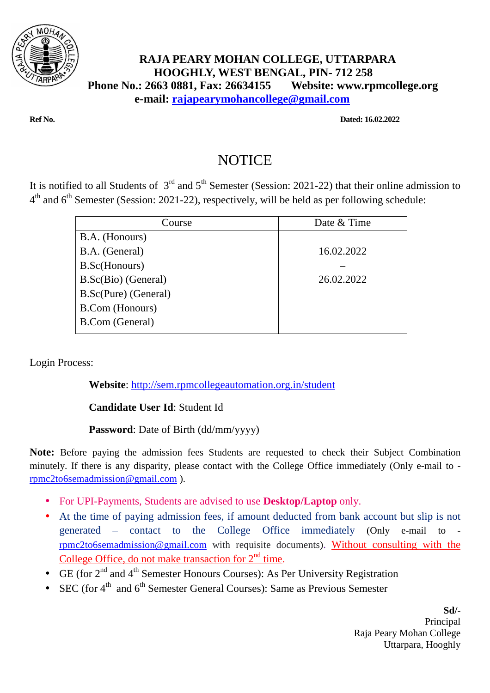

## **RAJA PEARY MOHAN COLLEGE, UTTARPARA HOOGHLY, WEST BENGAL, PIN- 712 258 Phone No.: 2663 0881, Fax: 26634155 Website: www.rpmcollege.org e-mail: rajapearymohancollege@gmail.com**

**Ref No. Dated: 16.02.2022** 

## NOTICE

It is notified to all Students of  $3<sup>rd</sup>$  and  $5<sup>th</sup>$  Semester (Session: 2021-22) that their online admission to  $4<sup>th</sup>$  and  $6<sup>th</sup>$  Semester (Session: 2021-22), respectively, will be held as per following schedule:

| Course                 | Date & Time |
|------------------------|-------------|
| B.A. (Honours)         |             |
| B.A. (General)         | 16.02.2022  |
| B.Sc(Honours)          |             |
| B.Sc(Bio) (General)    | 26.02.2022  |
| B.Sc(Pure) (General)   |             |
| <b>B.Com</b> (Honours) |             |
| <b>B.Com</b> (General) |             |
|                        |             |

Login Process:

**Website**: http://sem.rpmcollegeautomation.org.in/student

## **Candidate User Id**: Student Id

## **Password**: Date of Birth (dd/mm/yyyy)

**Note:** Before paying the admission fees Students are requested to check their Subject Combination minutely. If there is any disparity, please contact with the College Office immediately (Only e-mail to rpmc2to6semadmission@gmail.com ).

- For UPI-Payments, Students are advised to use **Desktop/Laptop** only.
- At the time of paying admission fees, if amount deducted from bank account but slip is not generated – contact to the College Office immediately (Only e-mail to rpmc2to6semadmission@gmail.com with requisite documents). Without consulting with the College Office, do not make transaction for  $2<sup>nd</sup>$  time.
- GE (for  $2^{nd}$  and  $4^{th}$  Semester Honours Courses): As Per University Registration
- SEC (for  $4<sup>th</sup>$  and  $6<sup>th</sup>$  Semester General Courses): Same as Previous Semester